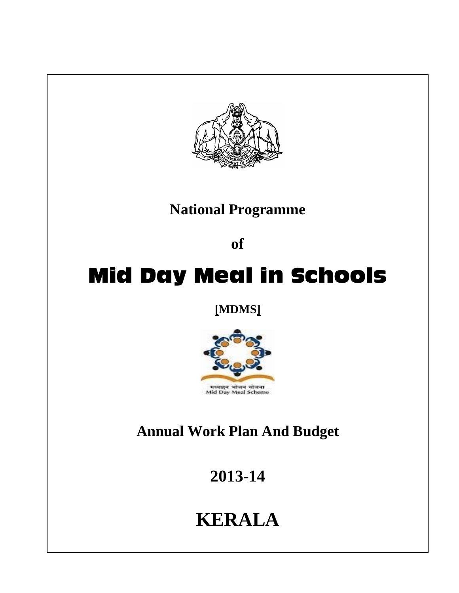

**National Programme**

**of** 

# **Mid Day Meal in Schools**

**[MDMS]**



## **Annual Work Plan And Budget**

**2013-14**

## **KERALA**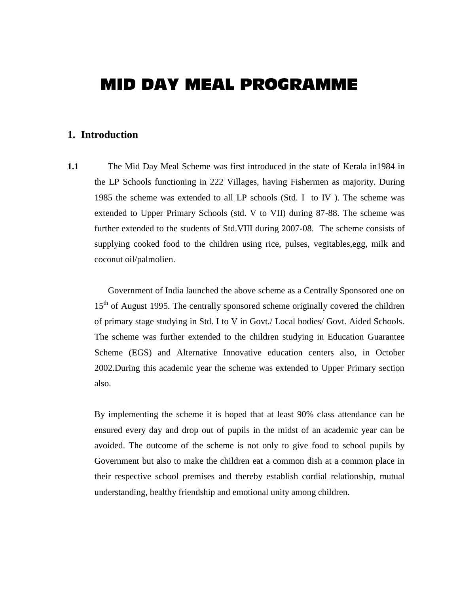### **MID DAY MEAL PROGRAMME**

#### **1. Introduction**

**1.1** The Mid Day Meal Scheme was first introduced in the state of Kerala in 1984 in the LP Schools functioning in 222 Villages, having Fishermen as majority. During 1985 the scheme was extended to all LP schools (Std. I to IV ). The scheme was extended to Upper Primary Schools (std. V to VII) during 87-88. The scheme was further extended to the students of Std.VIII during 2007-08. The scheme consists of supplying cooked food to the children using rice, pulses, vegitables,egg, milk and coconut oil/palmolien.

Government of India launched the above scheme as a Centrally Sponsored one on 15<sup>th</sup> of August 1995. The centrally sponsored scheme originally covered the children of primary stage studying in Std. I to V in Govt./ Local bodies/ Govt. Aided Schools. The scheme was further extended to the children studying in Education Guarantee Scheme (EGS) and Alternative Innovative education centers also, in October 2002.During this academic year the scheme was extended to Upper Primary section also.

By implementing the scheme it is hoped that at least 90% class attendance can be ensured every day and drop out of pupils in the midst of an academic year can be avoided. The outcome of the scheme is not only to give food to school pupils by Government but also to make the children eat a common dish at a common place in their respective school premises and thereby establish cordial relationship, mutual understanding, healthy friendship and emotional unity among children.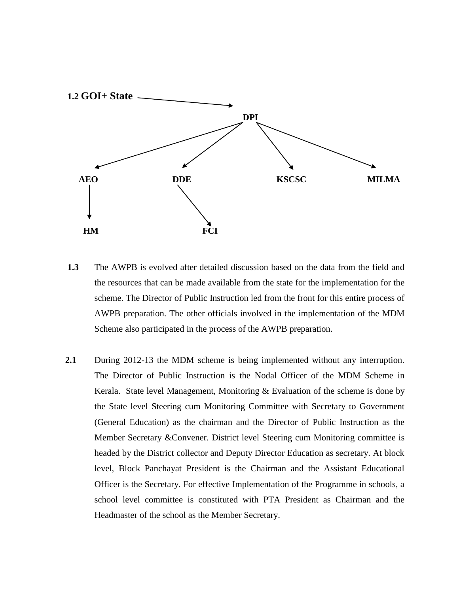

- **1.3** The AWPB is evolved after detailed discussion based on the data from the field and the resources that can be made available from the state for the implementation for the scheme. The Director of Public Instruction led from the front for this entire process of AWPB preparation. The other officials involved in the implementation of the MDM Scheme also participated in the process of the AWPB preparation.
- **2.1** During 2012-13 the MDM scheme is being implemented without any interruption. The Director of Public Instruction is the Nodal Officer of the MDM Scheme in Kerala. State level Management, Monitoring & Evaluation of the scheme is done by the State level Steering cum Monitoring Committee with Secretary to Government (General Education) as the chairman and the Director of Public Instruction as the Member Secretary &Convener. District level Steering cum Monitoring committee is headed by the District collector and Deputy Director Education as secretary. At block level, Block Panchayat President is the Chairman and the Assistant Educational Officer is the Secretary. For effective Implementation of the Programme in schools, a school level committee is constituted with PTA President as Chairman and the Headmaster of the school as the Member Secretary.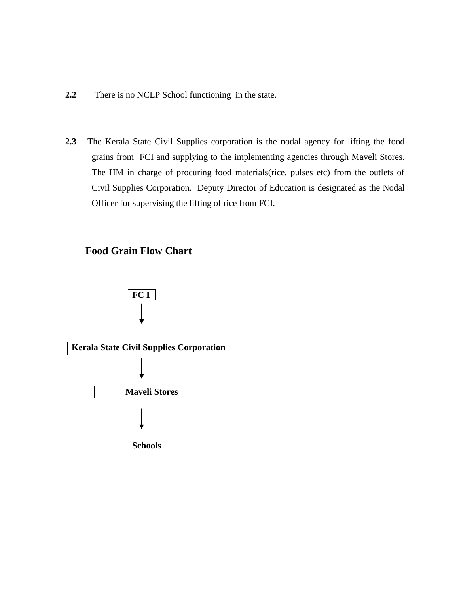- **2.2** There is no NCLP School functioning in the state.
- **2.3** The Kerala State Civil Supplies corporation is the nodal agency for lifting the food grains from FCI and supplying to the implementing agencies through Maveli Stores. The HM in charge of procuring food materials(rice, pulses etc) from the outlets of Civil Supplies Corporation. Deputy Director of Education is designated as the Nodal Officer for supervising the lifting of rice from FCI.

#### **Food Grain Flow Chart**

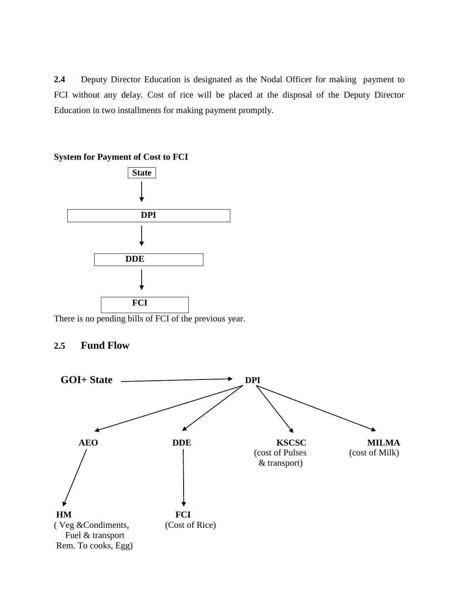**2.4** Deputy Director Education is designated as the Nodal Officer for making payment to FCI without any delay. Cost of rice will be placed at the disposal of the Deputy Director Education in two installments for making payment promptly.



**System for Payment of Cost to FCI**

**2.5 Fund Flow** 

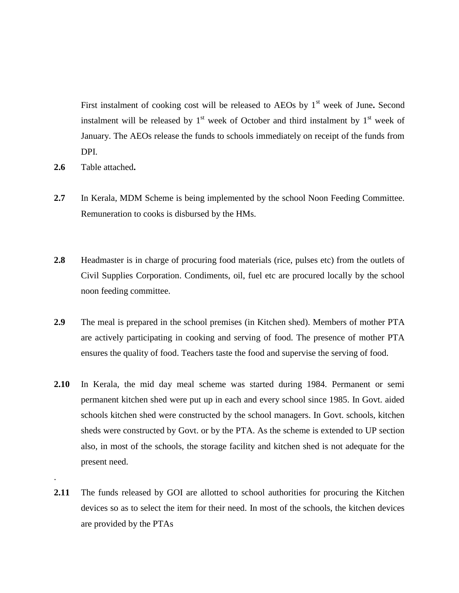First instalment of cooking cost will be released to AEOs by 1<sup>st</sup> week of June. Second instalment will be released by  $1<sup>st</sup>$  week of October and third instalment by  $1<sup>st</sup>$  week of January. The AEOs release the funds to schools immediately on receipt of the funds from DPI.

**2.6** Table attached**.**

.

- **2.7** In Kerala, MDM Scheme is being implemented by the school Noon Feeding Committee. Remuneration to cooks is disbursed by the HMs.
- **2.8** Headmaster is in charge of procuring food materials (rice, pulses etc) from the outlets of Civil Supplies Corporation. Condiments, oil, fuel etc are procured locally by the school noon feeding committee.
- **2.9** The meal is prepared in the school premises (in Kitchen shed). Members of mother PTA are actively participating in cooking and serving of food. The presence of mother PTA ensures the quality of food. Teachers taste the food and supervise the serving of food.
- **2.10** In Kerala, the mid day meal scheme was started during 1984. Permanent or semi permanent kitchen shed were put up in each and every school since 1985. In Govt. aided schools kitchen shed were constructed by the school managers. In Govt. schools, kitchen sheds were constructed by Govt. or by the PTA. As the scheme is extended to UP section also, in most of the schools, the storage facility and kitchen shed is not adequate for the present need.
- **2.11** The funds released by GOI are allotted to school authorities for procuring the Kitchen devices so as to select the item for their need. In most of the schools, the kitchen devices are provided by the PTAs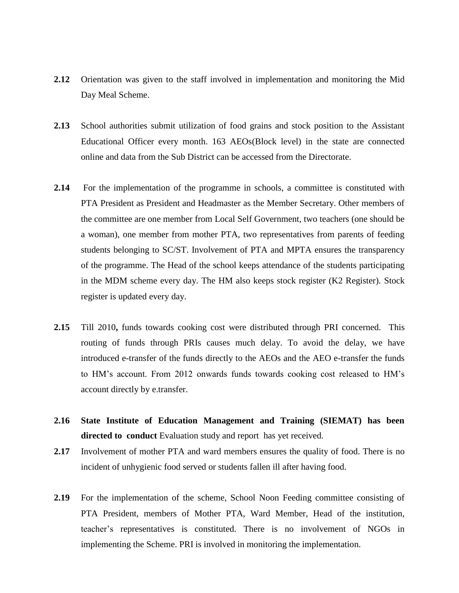- **2.12** Orientation was given to the staff involved in implementation and monitoring the Mid Day Meal Scheme.
- **2.13** School authorities submit utilization of food grains and stock position to the Assistant Educational Officer every month. 163 AEOs(Block level) in the state are connected online and data from the Sub District can be accessed from the Directorate.
- **2.14** For the implementation of the programme in schools, a committee is constituted with PTA President as President and Headmaster as the Member Secretary. Other members of the committee are one member from Local Self Government, two teachers (one should be a woman), one member from mother PTA, two representatives from parents of feeding students belonging to SC/ST. Involvement of PTA and MPTA ensures the transparency of the programme. The Head of the school keeps attendance of the students participating in the MDM scheme every day. The HM also keeps stock register (K2 Register). Stock register is updated every day.
- **2.15** Till 2010**,** funds towards cooking cost were distributed through PRI concerned. This routing of funds through PRIs causes much delay. To avoid the delay, we have introduced e-transfer of the funds directly to the AEOs and the AEO e-transfer the funds to HM's account. From 2012 onwards funds towards cooking cost released to HM's account directly by e.transfer.
- **2.16 State Institute of Education Management and Training (SIEMAT) has been directed to conduct** Evaluation study and report has yet received.
- **2.17** Involvement of mother PTA and ward members ensures the quality of food. There is no incident of unhygienic food served or students fallen ill after having food.
- **2.19** For the implementation of the scheme, School Noon Feeding committee consisting of PTA President, members of Mother PTA, Ward Member, Head of the institution, teacher's representatives is constituted. There is no involvement of NGOs in implementing the Scheme. PRI is involved in monitoring the implementation.